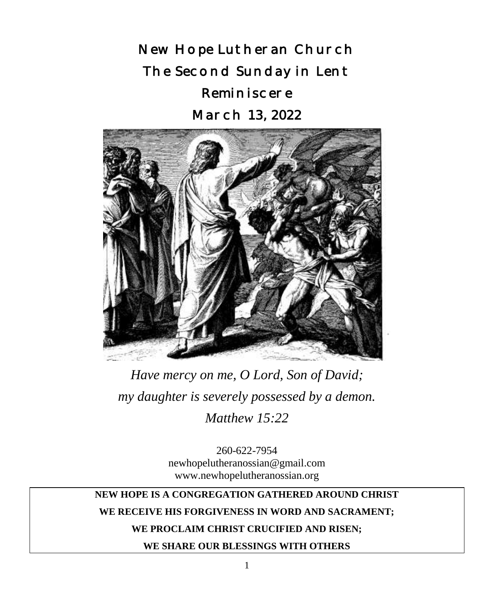New Hope Lutheran Church The Second Sunday in Lent Reminiscere

March 13, 2022



*Have mercy on me, O Lord, Son of David; my daughter is severely possessed by a demon. Matthew 15:22*

> 260-622-7954 newhopelutheranossian@gmail.com www.newhopelutheranossian.org

## **NEW HOPE IS A CONGREGATION GATHERED AROUND CHRIST**

**WE RECEIVE HIS FORGIVENESS IN WORD AND SACRAMENT;**

#### **WE PROCLAIM CHRIST CRUCIFIED AND RISEN;**

**WE SHARE OUR BLESSINGS WITH OTHERS**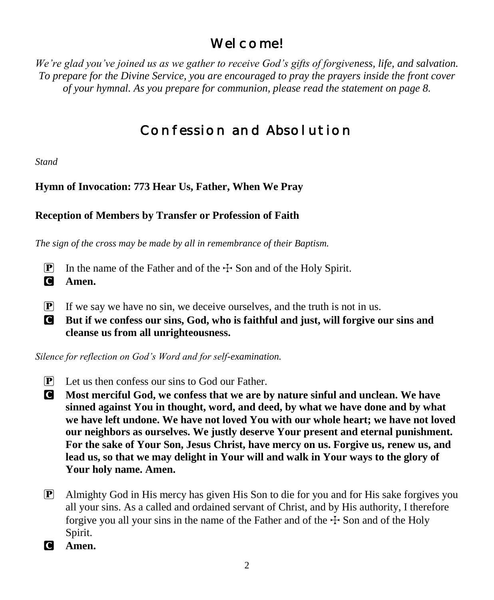# Wel come!

*We're glad you've joined us as we gather to receive God's gifts of forgiveness, life, and salvation. To prepare for the Divine Service, you are encouraged to pray the prayers inside the front cover of your hymnal. As you prepare for communion, please read the statement on page 8.*

# Confession and Absolution

*Stand*

# **Hymn of Invocation: 773 Hear Us, Father, When We Pray**

## **Reception of Members by Transfer or Profession of Faith**

*The sign of the cross may be made by all in remembrance of their Baptism.*

- **P** In the name of the Father and of the  $\pm$  Son and of the Holy Spirit.
- C **Amen.**
- $[P]$  If we say we have no sin, we deceive ourselves, and the truth is not in us.
- C **But if we confess our sins, God, who is faithful and just, will forgive our sins and cleanse us from all unrighteousness.**

*Silence for reflection on God's Word and for self-examination.*

- $\left[ \mathbf{P} \right]$  Let us then confess our sins to God our Father.
- C **Most merciful God, we confess that we are by nature sinful and unclean. We have sinned against You in thought, word, and deed, by what we have done and by what we have left undone. We have not loved You with our whole heart; we have not loved our neighbors as ourselves. We justly deserve Your present and eternal punishment. For the sake of Your Son, Jesus Christ, have mercy on us. Forgive us, renew us, and lead us, so that we may delight in Your will and walk in Your ways to the glory of Your holy name. Amen.**
- $\mathbf{P}$  Almighty God in His mercy has given His Son to die for you and for His sake forgives you all your sins. As a called and ordained servant of Christ, and by His authority, I therefore forgive you all your sins in the name of the Father and of the  $\pm$  Son and of the Holy Spirit.
- C **Amen.**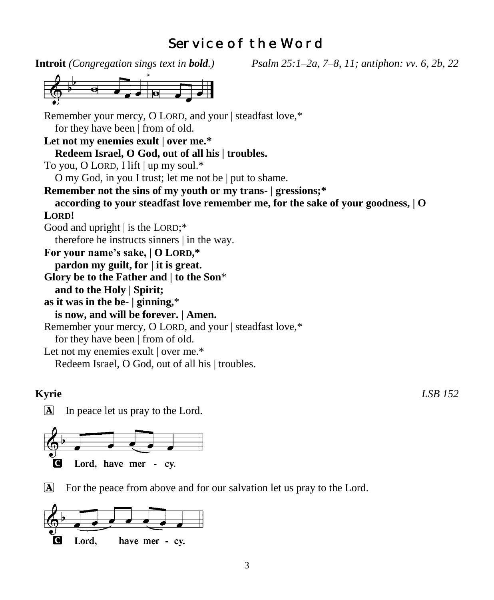# Service of the Word

**Introit** *(Congregation sings text in bold.) Psalm 25:1–2a, 7–8, 11; antiphon: vv. 6, 2b, 22*



Remember your mercy, O LORD, and your | steadfast love,\* for they have been | from of old. **Let not my enemies exult | over me.\* Redeem Israel, O God, out of all his | troubles.** To you, O LORD, I lift | up my soul.\* O my God, in you I trust; let me not be | put to shame. **Remember not the sins of my youth or my trans- | gressions;\* according to your steadfast love remember me, for the sake of your goodness, | O LORD!** Good and upright | is the LORD;<sup>\*</sup> therefore he instructs sinners | in the way. **For your name's sake, | O LORD,\* pardon my guilt, for | it is great. Glory be to the Father and | to the Son**\* **and to the Holy | Spirit; as it was in the be- | ginning,**\* **is now, and will be forever. | Amen.** Remember your mercy, O LORD, and your | steadfast love,\* for they have been | from of old. Let not my enemies exult | over me.\* Redeem Israel, O God, out of all his | troubles.

**Kyrie** *LSB 152*

A In peace let us pray to the Lord.



For the peace from above and for our salvation let us pray to the Lord.

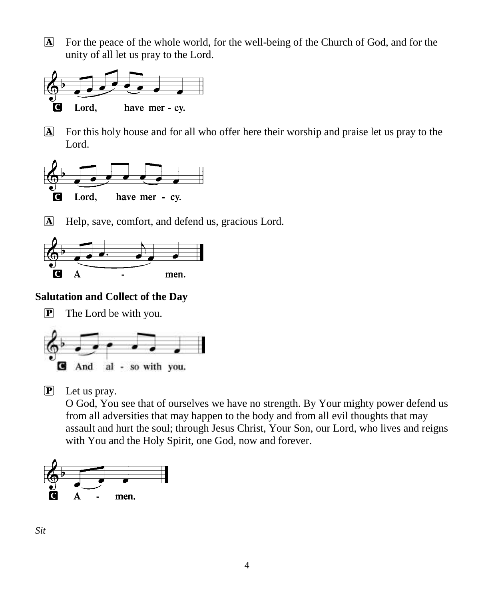A For the peace of the whole world, for the well-being of the Church of God, and for the unity of all let us pray to the Lord.



A For this holy house and for all who offer here their worship and praise let us pray to the Lord.



A Help, save, comfort, and defend us, gracious Lord.



## **Salutation and Collect of the Day**

P The Lord be with you.



P Let us pray.

O God, You see that of ourselves we have no strength. By Your mighty power defend us from all adversities that may happen to the body and from all evil thoughts that may assault and hurt the soul; through Jesus Christ, Your Son, our Lord, who lives and reigns with You and the Holy Spirit, one God, now and forever.

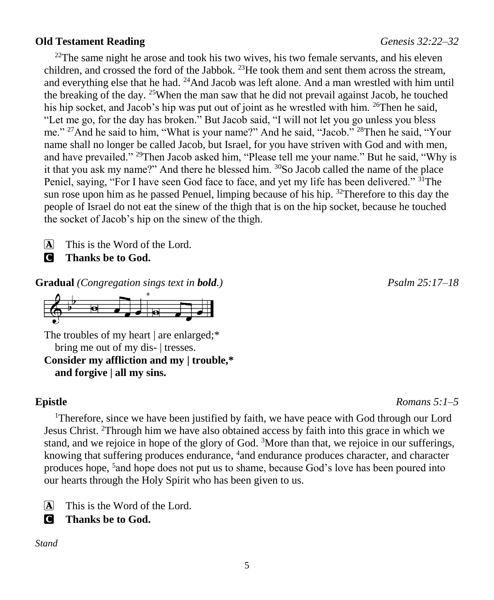### **Old Testament Reading** *Genesis 32:22–32*

 $2<sup>22</sup>$ The same night he arose and took his two wives, his two female servants, and his eleven children, and crossed the ford of the Jabbok. <sup>23</sup>He took them and sent them across the stream, and everything else that he had.  $^{24}$ And Jacob was left alone. And a man wrestled with him until the breaking of the day. <sup>25</sup>When the man saw that he did not prevail against Jacob, he touched his hip socket, and Jacob's hip was put out of joint as he wrestled with him. <sup>26</sup>Then he said, "Let me go, for the day has broken." But Jacob said, "I will not let you go unless you bless me." <sup>27</sup>And he said to him, "What is your name?" And he said, "Jacob." <sup>28</sup>Then he said, "Your name shall no longer be called Jacob, but Israel, for you have striven with God and with men, and have prevailed." <sup>29</sup>Then Jacob asked him, "Please tell me your name." But he said, "Why is it that you ask my name?" And there he blessed him.  $\frac{30}{50}$  Jacob called the name of the place Peniel, saying, "For I have seen God face to face, and yet my life has been delivered." <sup>31</sup>The sun rose upon him as he passed Penuel, limping because of his hip.  $32$ Therefore to this day the people of Israel do not eat the sinew of the thigh that is on the hip socket, because he touched the socket of Jacob's hip on the sinew of the thigh.

 $\overline{A}$  This is the Word of the Lord.

C **Thanks be to God.**

**Gradual** *(Congregation sings text in bold.) Psalm 25:17–18*

The troubles of my heart | are enlarged;\* bring me out of my dis- | tresses. **Consider my affliction and my | trouble,\***

**and forgive | all my sins.**

<sup>1</sup>Therefore, since we have been justified by faith, we have peace with God through our Lord Jesus Christ. <sup>2</sup>Through him we have also obtained access by faith into this grace in which we stand, and we rejoice in hope of the glory of God. <sup>3</sup>More than that, we rejoice in our sufferings, knowing that suffering produces endurance, <sup>4</sup>and endurance produces character, and character produces hope, <sup>5</sup> and hope does not put us to shame, because God's love has been poured into our hearts through the Holy Spirit who has been given to us.

 $\overline{A}$  This is the Word of the Lord.

C **Thanks be to God.**

*Stand*

**Epistle** *Romans 5:1–5*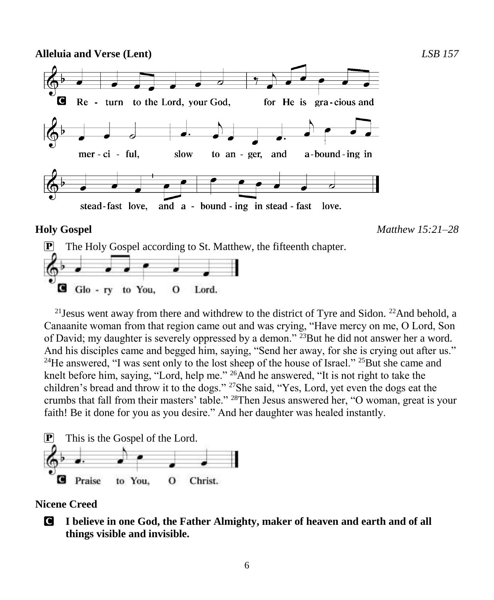**Alleluia and Verse (Lent)** *LSB 157* Re - turn to the Lord, your God, C for He is gra-cious and mer ci ful, slow to an - ger, and a-bound-ing in stead-fast love, and a - bound - ing in stead - fast love. **Holy Gospel** *Matthew 15:21–28* P The Holy Gospel according to St. Matthew, the fifteenth chapter.



<sup>21</sup> Jesus went away from there and withdrew to the district of Tyre and Sidon. <sup>22</sup>And behold, a Canaanite woman from that region came out and was crying, "Have mercy on me, O Lord, Son of David; my daughter is severely oppressed by a demon." <sup>23</sup>But he did not answer her a word. And his disciples came and begged him, saying, "Send her away, for she is crying out after us." <sup>24</sup>He answered, "I was sent only to the lost sheep of the house of Israel." <sup>25</sup>But she came and knelt before him, saying, "Lord, help me." <sup>26</sup>And he answered, "It is not right to take the children's bread and throw it to the dogs." <sup>27</sup>She said, "Yes, Lord, yet even the dogs eat the crumbs that fall from their masters' table." <sup>28</sup>Then Jesus answered her, "O woman, great is your faith! Be it done for you as you desire." And her daughter was healed instantly.



### **Nicene Creed**

C **I believe in one God, the Father Almighty, maker of heaven and earth and of all things visible and invisible.**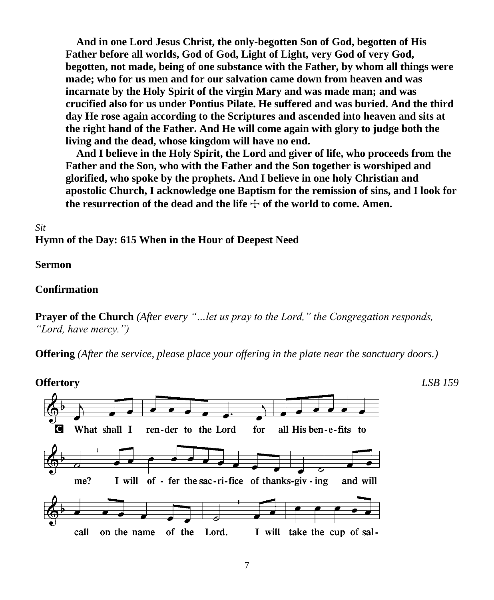**And in one Lord Jesus Christ, the only-begotten Son of God, begotten of His Father before all worlds, God of God, Light of Light, very God of very God, begotten, not made, being of one substance with the Father, by whom all things were made; who for us men and for our salvation came down from heaven and was incarnate by the Holy Spirit of the virgin Mary and was made man; and was crucified also for us under Pontius Pilate. He suffered and was buried. And the third day He rose again according to the Scriptures and ascended into heaven and sits at the right hand of the Father. And He will come again with glory to judge both the living and the dead, whose kingdom will have no end.**

**And I believe in the Holy Spirit, the Lord and giver of life, who proceeds from the Father and the Son, who with the Father and the Son together is worshiped and glorified, who spoke by the prophets. And I believe in one holy Christian and apostolic Church, I acknowledge one Baptism for the remission of sins, and I look for**  the resurrection of the dead and the life  $\pm$  of the world to come. Amen.

*Sit* **Hymn of the Day: 615 When in the Hour of Deepest Need**

**Sermon**

#### **Confirmation**

**Prayer of the Church** *(After every "…let us pray to the Lord," the Congregation responds, "Lord, have mercy.")*

**Offering** *(After the service, please place your offering in the plate near the sanctuary doors.)*

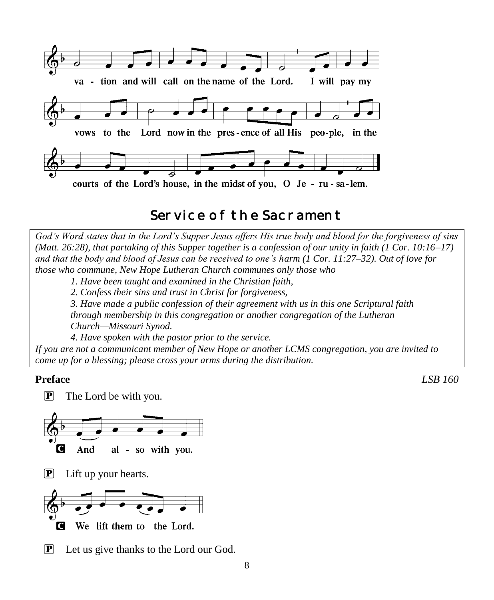

# Service of the Sacrament

*God's Word states that in the Lord's Supper Jesus offers His true body and blood for the forgiveness of sins (Matt. 26:28), that partaking of this Supper together is a confession of our unity in faith (1 Cor. 10:16–17) and that the body and blood of Jesus can be received to one's harm (1 Cor. 11:27–32). Out of love for those who commune, New Hope Lutheran Church communes only those who*

- *1. Have been taught and examined in the Christian faith,*
- *2. Confess their sins and trust in Christ for forgiveness,*
- *3. Have made a public confession of their agreement with us in this one Scriptural faith*

*through membership in this congregation or another congregation of the Lutheran Church—Missouri Synod.* 

*4. Have spoken with the pastor prior to the service.*

*If you are not a communicant member of New Hope or another LCMS congregation, you are invited to come up for a blessing; please cross your arms during the distribution.*

#### **Preface** *LSB 160*

**P** The Lord be with you.



 $\left| \mathbf{P} \right|$  Lift up your hearts.



P Let us give thanks to the Lord our God.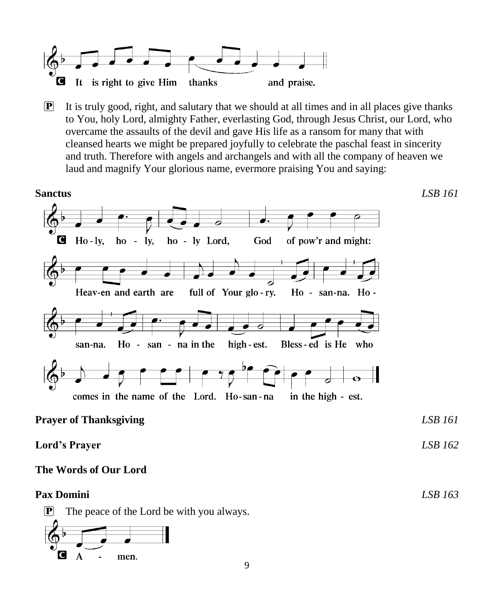

 $\mathbf{P}$  It is truly good, right, and salutary that we should at all times and in all places give thanks to You, holy Lord, almighty Father, everlasting God, through Jesus Christ, our Lord, who overcame the assaults of the devil and gave His life as a ransom for many that with cleansed hearts we might be prepared joyfully to celebrate the paschal feast in sincerity and truth. Therefore with angels and archangels and with all the company of heaven we laud and magnify Your glorious name, evermore praising You and saying:



#### **The Words of Our Lord**

#### **Pax Domini** *LSB 163*

 $\left[ \mathbf{P} \right]$  The peace of the Lord be with you always.

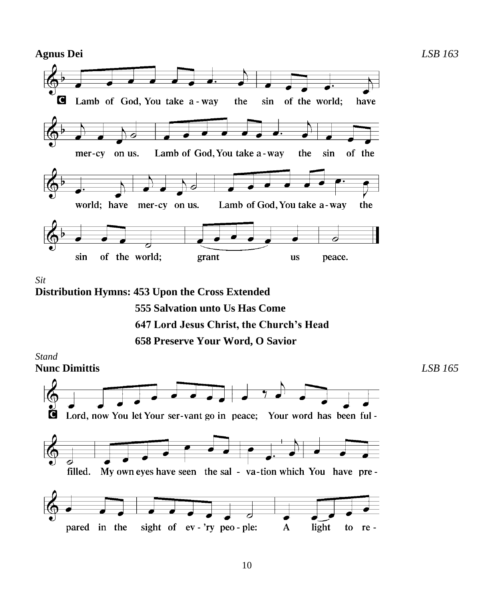

*Sit*

**Distribution Hymns: 453 Upon the Cross Extended**



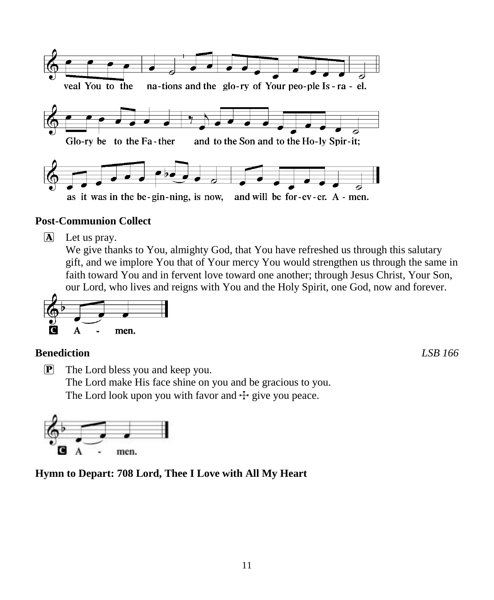

#### **Post-Communion Collect**

 $[A]$  Let us pray.

We give thanks to You, almighty God, that You have refreshed us through this salutary gift, and we implore You that of Your mercy You would strengthen us through the same in faith toward You and in fervent love toward one another; through Jesus Christ, Your Son, our Lord, who lives and reigns with You and the Holy Spirit, one God, now and forever.



### **Benediction** *LSB 166*

P The Lord bless you and keep you. The Lord make His face shine on you and be gracious to you. The Lord look upon you with favor and  $\pm$  give you peace.



**Hymn to Depart: 708 Lord, Thee I Love with All My Heart**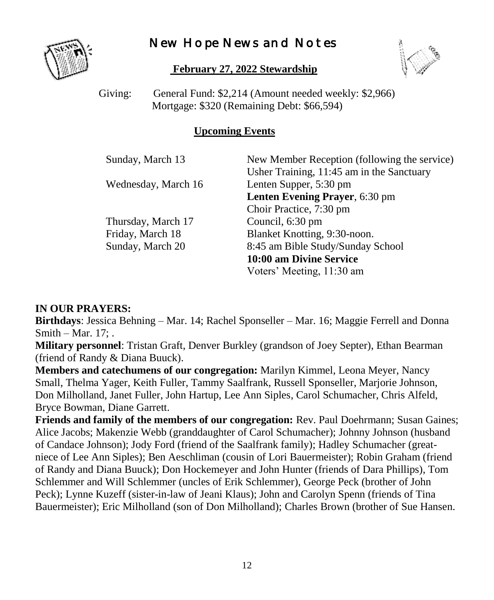

# New Hope News and Notes

## **February 27, 2022 Stewardship**

Giving: General Fund: \$2,214 (Amount needed weekly: \$2,966) Mortgage: \$320 (Remaining Debt: \$66,594)

## **Upcoming Events**

| Sunday, March 13    | New Member Reception (following the service) |
|---------------------|----------------------------------------------|
|                     | Usher Training, 11:45 am in the Sanctuary    |
| Wednesday, March 16 | Lenten Supper, 5:30 pm                       |
|                     | Lenten Evening Prayer, 6:30 pm               |
|                     | Choir Practice, 7:30 pm                      |
| Thursday, March 17  | Council, 6:30 pm                             |
| Friday, March 18    | Blanket Knotting, 9:30-noon.                 |
| Sunday, March 20    | 8:45 am Bible Study/Sunday School            |
|                     | 10:00 am Divine Service                      |
|                     | Voters' Meeting, 11:30 am                    |

### **IN OUR PRAYERS:**

**Birthdays**: Jessica Behning – Mar. 14; Rachel Sponseller – Mar. 16; Maggie Ferrell and Donna Smith – Mar.  $17:$ .

**Military personnel**: Tristan Graft, Denver Burkley (grandson of Joey Septer), Ethan Bearman (friend of Randy & Diana Buuck).

**Members and catechumens of our congregation:** Marilyn Kimmel, Leona Meyer, Nancy Small, Thelma Yager, Keith Fuller, Tammy Saalfrank, Russell Sponseller, Marjorie Johnson, Don Milholland, Janet Fuller, John Hartup, Lee Ann Siples, Carol Schumacher, Chris Alfeld, Bryce Bowman, Diane Garrett.

**Friends and family of the members of our congregation:** Rev. Paul Doehrmann; Susan Gaines; Alice Jacobs; Makenzie Webb (granddaughter of Carol Schumacher); Johnny Johnson (husband of Candace Johnson); Jody Ford (friend of the Saalfrank family); Hadley Schumacher (greatniece of Lee Ann Siples); Ben Aeschliman (cousin of Lori Bauermeister); Robin Graham (friend of Randy and Diana Buuck); Don Hockemeyer and John Hunter (friends of Dara Phillips), Tom Schlemmer and Will Schlemmer (uncles of Erik Schlemmer), George Peck (brother of John Peck); Lynne Kuzeff (sister-in-law of Jeani Klaus); John and Carolyn Spenn (friends of Tina Bauermeister); Eric Milholland (son of Don Milholland); Charles Brown (brother of Sue Hansen.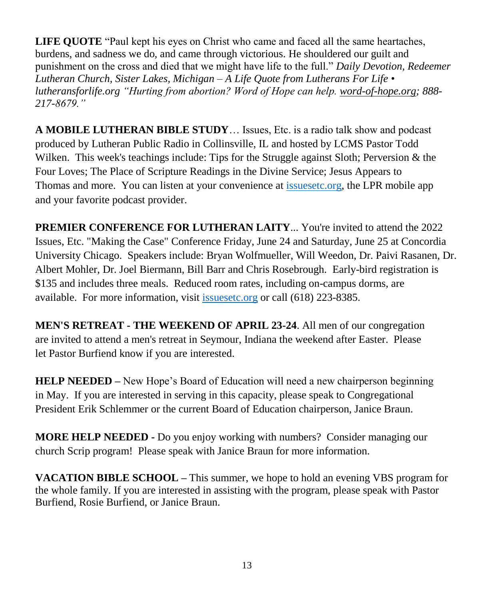**LIFE OUOTE** "Paul kept his eyes on Christ who came and faced all the same heartaches, burdens, and sadness we do, and came through victorious. He shouldered our guilt and punishment on the cross and died that we might have life to the full." *Daily Devotion, Redeemer Lutheran Church, Sister Lakes, Michigan – A Life Quote from Lutherans For Life • lutheransforlife.org "Hurting from abortion? Word of Hope can help. [word-of-hope.org;](https://word-of-hope.org/) 888- 217-8679."*

**A MOBILE LUTHERAN BIBLE STUDY**… Issues, Etc. is a radio talk show and podcast produced by Lutheran Public Radio in Collinsville, IL and hosted by LCMS Pastor Todd Wilken. This week's teachings include: Tips for the Struggle against Sloth; Perversion & the Four Loves; The Place of Scripture Readings in the Divine Service; Jesus Appears to Thomas and more. You can listen at your convenience at [issuesetc.org,](https://r20.rs6.net/tn.jsp?f=001JpbgNI5LvUzoTTD5vX9d4sobMCfCIr926MfN3071wy48_pAy3agfbDsHa6Vl5XZWfwSgafJpc-dFXQ0bzXh0EwN_by4syJelA1yaKJfJ0N3EhKgaeaZy8y9dK2rhTFvjTThiVSRfl4x9RIOTWgfDRw==&c=p-VC4ozkWepEEnHnBWD1qI7WrnKT7JJ-ITQIUoRIV4q__mX845Gmqw==&ch=GMmhOZkVMzQ2LLycZjXCfu1rfJGeOsbXyUZwJznAjleIlmEMUrOgag==) the LPR mobile app and your favorite podcast provider.

**PREMIER CONFERENCE FOR LUTHERAN LAITY...** You're invited to attend the 2022 Issues, Etc. "Making the Case" Conference Friday, June 24 and Saturday, June 25 at Concordia University Chicago. Speakers include: Bryan Wolfmueller, Will Weedon, Dr. Paivi Rasanen, Dr. Albert Mohler, Dr. Joel Biermann, Bill Barr and Chris Rosebrough. Early-bird registration is \$135 and includes three meals. Reduced room rates, including on-campus dorms, are available. For more information, visit [issuesetc.org](https://r20.rs6.net/tn.jsp?f=001euVFadQYlcqFiWhNUjuBbHDmQt8zr5LGpqJOcLv4QfFxYfmz4IzpW9kQiozbqP7syCQO2oCzsyztEbkKm8bVvaaPXiIjldQ_yas1ukD2ts2H0PQi4aQvfhXbzpttXfxWoUQb2-KbSC90tXVYSQxNjQ==&c=LRpREN2vtUelZtY1CHzz_oytM671LfaiHMh8a0E8a2H4Lst8uHALhQ==&ch=ez5PS-pzAEDlkyvIKHLvGSu-gTy7UOzK6LklBsmfJD5SWaW-5-8Yfg==) or call (618) 223-8385.

**MEN'S RETREAT - THE WEEKEND OF APRIL 23-24**. All men of our congregation are invited to attend a men's retreat in Seymour, Indiana the weekend after Easter. Please let Pastor Burfiend know if you are interested.

**HELP NEEDED** – New Hope's Board of Education will need a new chairperson beginning in May. If you are interested in serving in this capacity, please speak to Congregational President Erik Schlemmer or the current Board of Education chairperson, Janice Braun.

**MORE HELP NEEDED -** Do you enjoy working with numbers? Consider managing our church Scrip program! Please speak with Janice Braun for more information.

**VACATION BIBLE SCHOOL –** This summer, we hope to hold an evening VBS program for the whole family. If you are interested in assisting with the program, please speak with Pastor Burfiend, Rosie Burfiend, or Janice Braun.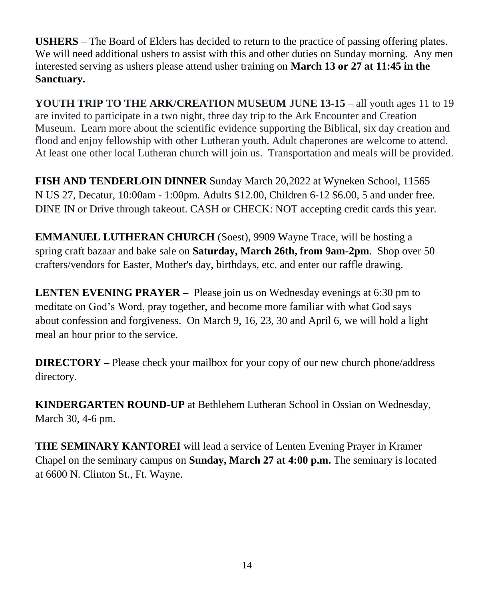**USHERS** – The Board of Elders has decided to return to the practice of passing offering plates. We will need additional ushers to assist with this and other duties on Sunday morning. Any men interested serving as ushers please attend usher training on **March 13 or 27 at 11:45 in the Sanctuary.**

**YOUTH TRIP TO THE ARK/CREATION MUSEUM JUNE 13-15** – all youth ages 11 to 19 are invited to participate in a two night, three day trip to the Ark Encounter and Creation Museum. Learn more about the scientific evidence supporting the Biblical, six day creation and flood and enjoy fellowship with other Lutheran youth. Adult chaperones are welcome to attend. At least one other local Lutheran church will join us. Transportation and meals will be provided.

**FISH AND TENDERLOIN DINNER** Sunday March 20,2022 at Wyneken School, 11565 N US 27, Decatur, 10:00am - 1:00pm. Adults \$12.00, Children 6-12 \$6.00, 5 and under free. DINE IN or Drive through takeout. CASH or CHECK: NOT accepting credit cards this year.

**EMMANUEL LUTHERAN CHURCH** (Soest), 9909 Wayne Trace, will be hosting a spring craft bazaar and bake sale on **Saturday, March 26th, from 9am-2pm**. Shop over 50 crafters/vendors for Easter, Mother's day, birthdays, etc. and enter our raffle drawing.

**LENTEN EVENING PRAYER –** Please join us on Wednesday evenings at 6:30 pm to meditate on God's Word, pray together, and become more familiar with what God says about confession and forgiveness. On March 9, 16, 23, 30 and April 6, we will hold a light meal an hour prior to the service.

**DIRECTORY –** Please check your mailbox for your copy of our new church phone/address directory.

**KINDERGARTEN ROUND-UP** at Bethlehem Lutheran School in Ossian on Wednesday, March 30, 4-6 pm.

**THE SEMINARY KANTOREI** will lead a service of Lenten Evening Prayer in Kramer Chapel on the seminary campus on **Sunday, March 27 at 4:00 p.m.** The seminary is located at 6600 N. Clinton St., Ft. Wayne.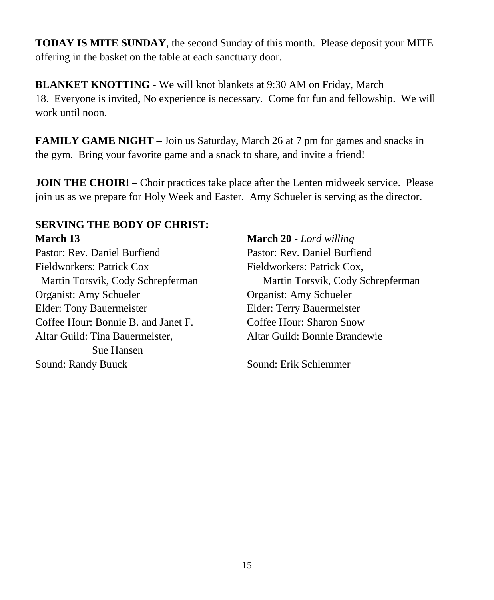**TODAY IS MITE SUNDAY**, the second Sunday of this month. Please deposit your MITE offering in the basket on the table at each sanctuary door.

**BLANKET KNOTTING -** We will knot blankets at 9:30 AM on Friday, March 18. Everyone is invited, No experience is necessary. Come for fun and fellowship. We will work until noon.

**FAMILY GAME NIGHT –** Join us Saturday, March 26 at 7 pm for games and snacks in the gym. Bring your favorite game and a snack to share, and invite a friend!

**JOIN THE CHOIR!** – Choir practices take place after the Lenten midweek service. Please join us as we prepare for Holy Week and Easter. Amy Schueler is serving as the director.

## **SERVING THE BODY OF CHRIST: March 13 March 20 -** *Lord willing*

Pastor: Rev. Daniel Burfiend Pastor: Rev. Daniel Burfiend Fieldworkers: Patrick Cox Fieldworkers: Patrick Cox, Organist: Amy Schueler Organist: Amy Schueler Elder: Tony Bauermeister Elder: Terry Bauermeister Coffee Hour: Bonnie B. and Janet F. Coffee Hour: Sharon Snow Altar Guild: Tina Bauermeister, Altar Guild: Bonnie Brandewie Sue Hansen Sound: Randy Buuck Sound: Erik Schlemmer

Martin Torsvik, Cody Schrepferman Martin Torsvik, Cody Schrepferman